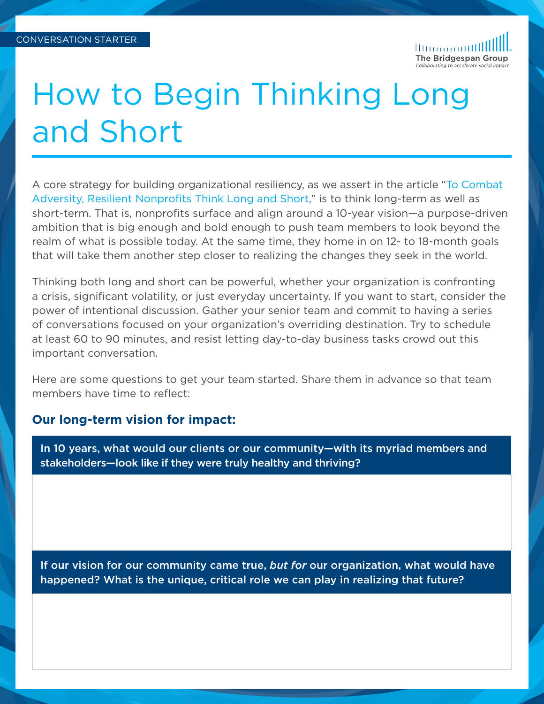1111111111111111 The Bridgespan Group

# How to Begin Thinking Long and Short

A core strategy for building organizational resiliency, as we assert in the article ["To Combat](https://www.bridgespan.org/insights/library/strategy-development/resilient-nonprofits-think-long-and-short)  [Adversity, Resilient Nonprofits Think Long and Short,](https://www.bridgespan.org/insights/library/strategy-development/resilient-nonprofits-think-long-and-short)" is to think long-term as well as short-term. That is, nonprofits surface and align around a 10-year vision—a purpose-driven ambition that is big enough and bold enough to push team members to look beyond the realm of what is possible today. At the same time, they home in on 12- to 18-month goals that will take them another step closer to realizing the changes they seek in the world.

Thinking both long and short can be powerful, whether your organization is confronting a crisis, significant volatility, or just everyday uncertainty. If you want to start, consider the power of intentional discussion. Gather your senior team and commit to having a series of conversations focused on your organization's overriding destination. Try to schedule at least 60 to 90 minutes, and resist letting day-to-day business tasks crowd out this important conversation.

Here are some questions to get your team started. Share them in advance so that team members have time to reflect:

#### **Our long-term vision for impact:**

In 10 years, what would our clients or our community—with its myriad members and stakeholders—look like if they were truly healthy and thriving?

If our vision for our community came true, *but for* our organization, what would have happened? What is the unique, critical role we can play in realizing that future?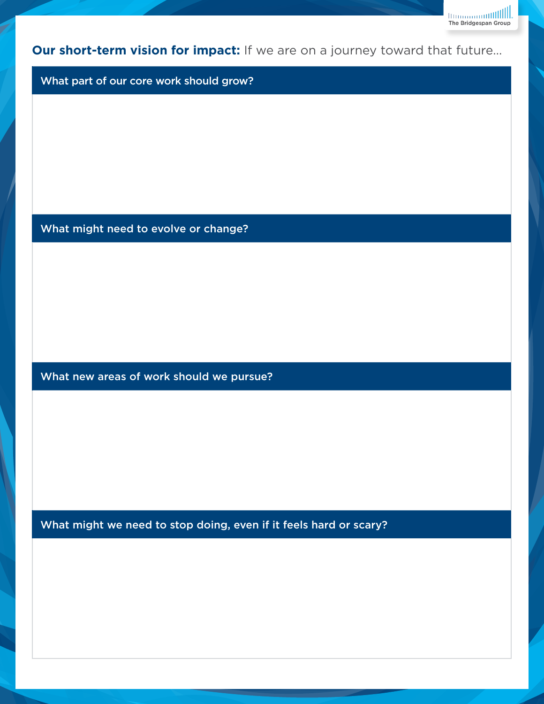**Our short-term vision for impact:** If we are on a journey toward that future…

mmmmmillll. The Bridgespan Group

What part of our core work should grow?

What might need to evolve or change?

What new areas of work should we pursue?

What might we need to stop doing, even if it feels hard or scary?